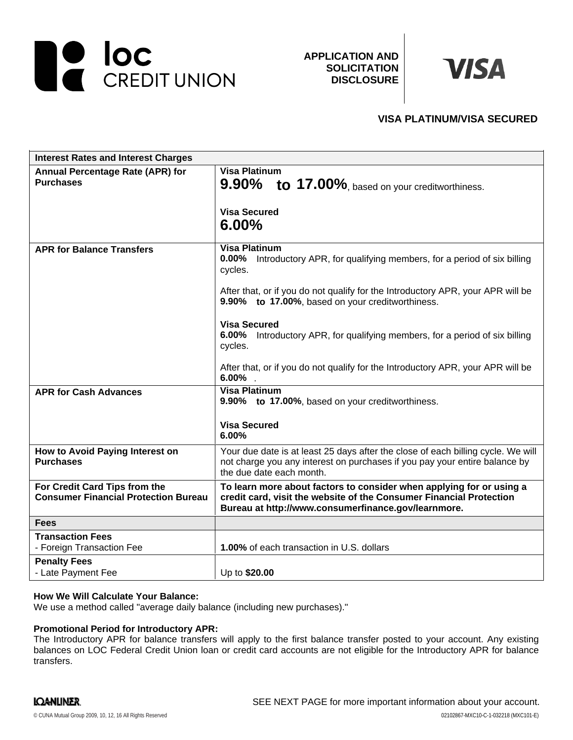

**APPLICATION AND SOLICITATION DISCLOSURE**



# **VISA PLATINUM/VISA SECURED**

| <b>Interest Rates and Interest Charges</b>                                   |                                                                                                                                                                                                                                                                                                                                                                                                                                                                                  |
|------------------------------------------------------------------------------|----------------------------------------------------------------------------------------------------------------------------------------------------------------------------------------------------------------------------------------------------------------------------------------------------------------------------------------------------------------------------------------------------------------------------------------------------------------------------------|
| <b>Annual Percentage Rate (APR) for</b><br><b>Purchases</b>                  | <b>Visa Platinum</b><br>9.90% to 17.00%, based on your creditworthiness.<br><b>Visa Secured</b><br>$6.00\%$                                                                                                                                                                                                                                                                                                                                                                      |
| <b>APR for Balance Transfers</b>                                             | <b>Visa Platinum</b><br>$0.00\%$<br>Introductory APR, for qualifying members, for a period of six billing<br>cycles.<br>After that, or if you do not qualify for the Introductory APR, your APR will be<br>9.90% to 17.00%, based on your creditworthiness.<br><b>Visa Secured</b><br>6.00%<br>Introductory APR, for qualifying members, for a period of six billing<br>cycles.<br>After that, or if you do not qualify for the Introductory APR, your APR will be<br>$6.00\%$ . |
| <b>APR for Cash Advances</b>                                                 | <b>Visa Platinum</b><br>9.90% to 17.00%, based on your creditworthiness.<br><b>Visa Secured</b><br>6.00%                                                                                                                                                                                                                                                                                                                                                                         |
| How to Avoid Paying Interest on<br><b>Purchases</b>                          | Your due date is at least 25 days after the close of each billing cycle. We will<br>not charge you any interest on purchases if you pay your entire balance by<br>the due date each month.                                                                                                                                                                                                                                                                                       |
| For Credit Card Tips from the<br><b>Consumer Financial Protection Bureau</b> | To learn more about factors to consider when applying for or using a<br>credit card, visit the website of the Consumer Financial Protection<br>Bureau at http://www.consumerfinance.gov/learnmore.                                                                                                                                                                                                                                                                               |
| <b>Fees</b>                                                                  |                                                                                                                                                                                                                                                                                                                                                                                                                                                                                  |
| <b>Transaction Fees</b><br>- Foreign Transaction Fee                         | <b>1.00%</b> of each transaction in U.S. dollars                                                                                                                                                                                                                                                                                                                                                                                                                                 |
| <b>Penalty Fees</b><br>- Late Payment Fee                                    | Up to \$20.00                                                                                                                                                                                                                                                                                                                                                                                                                                                                    |

#### **How We Will Calculate Your Balance:**

We use a method called "average daily balance (including new purchases)."

## **Promotional Period for Introductory APR:**

The Introductory APR for balance transfers will apply to the first balance transfer posted to your account. Any existing balances on LOC Federal Credit Union loan or credit card accounts are not eligible for the Introductory APR for balance transfers.